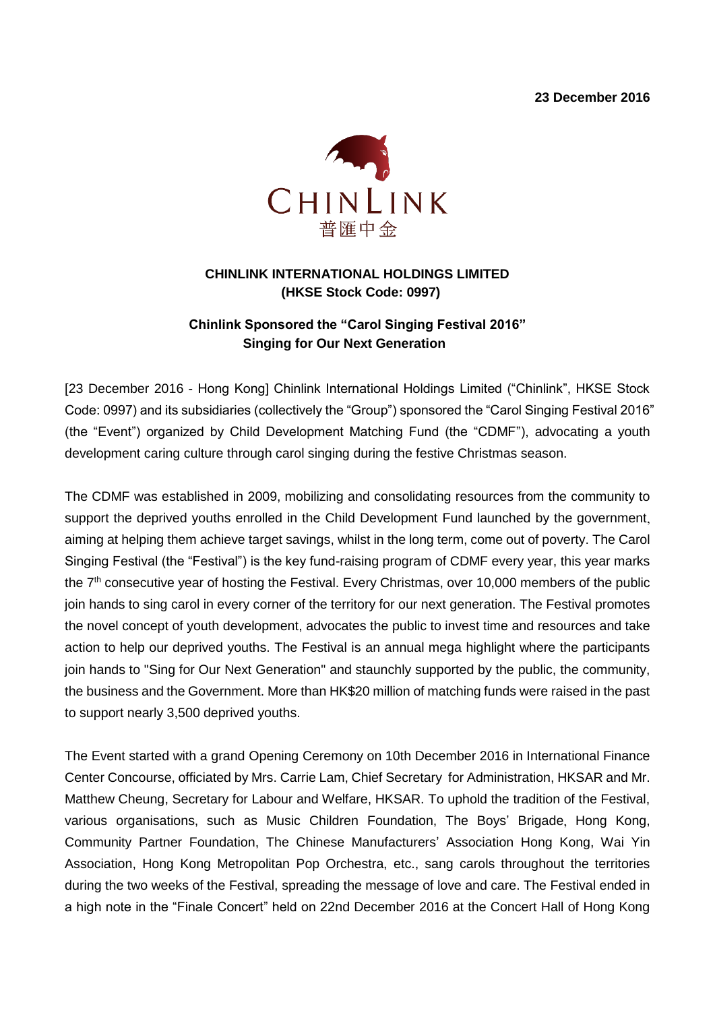**23 December 2016**



#### **CHINLINK INTERNATIONAL HOLDINGS LIMITED (HKSE Stock Code: 0997)**

### **Chinlink Sponsored the "Carol Singing Festival 2016" Singing for Our Next Generation**

[23 December 2016 - Hong Kong] Chinlink International Holdings Limited ("Chinlink", HKSE Stock Code: 0997) and its subsidiaries (collectively the "Group") sponsored the "Carol Singing Festival 2016" (the "Event") organized by Child Development Matching Fund (the "CDMF"), advocating a youth development caring culture through carol singing during the festive Christmas season.

The CDMF was established in 2009, mobilizing and consolidating resources from the community to support the deprived youths enrolled in the Child Development Fund launched by the government, aiming at helping them achieve target savings, whilst in the long term, come out of poverty. The Carol Singing Festival (the "Festival") is the key fund-raising program of CDMF every year, this year marks the 7<sup>th</sup> consecutive year of hosting the Festival. Every Christmas, over 10,000 members of the public join hands to sing carol in every corner of the territory for our next generation. The Festival promotes the novel concept of youth development, advocates the public to invest time and resources and take action to help our deprived youths. The Festival is an annual mega highlight where the participants join hands to "Sing for Our Next Generation" and staunchly supported by the public, the community, the business and the Government. More than HK\$20 million of matching funds were raised in the past to support nearly 3,500 deprived youths.

The Event started with a grand Opening Ceremony on 10th December 2016 in International Finance Center Concourse, officiated by Mrs. Carrie Lam, Chief Secretary for Administration, HKSAR and Mr. Matthew Cheung, Secretary for Labour and Welfare, HKSAR. To uphold the tradition of the Festival, various organisations, such as Music Children Foundation, The Boys' Brigade, Hong Kong, Community Partner Foundation, The Chinese Manufacturers' Association Hong Kong, Wai Yin Association, Hong Kong Metropolitan Pop Orchestra, etc., sang carols throughout the territories during the two weeks of the Festival, spreading the message of love and care. The Festival ended in a high note in the "Finale Concert" held on 22nd December 2016 at the Concert Hall of Hong Kong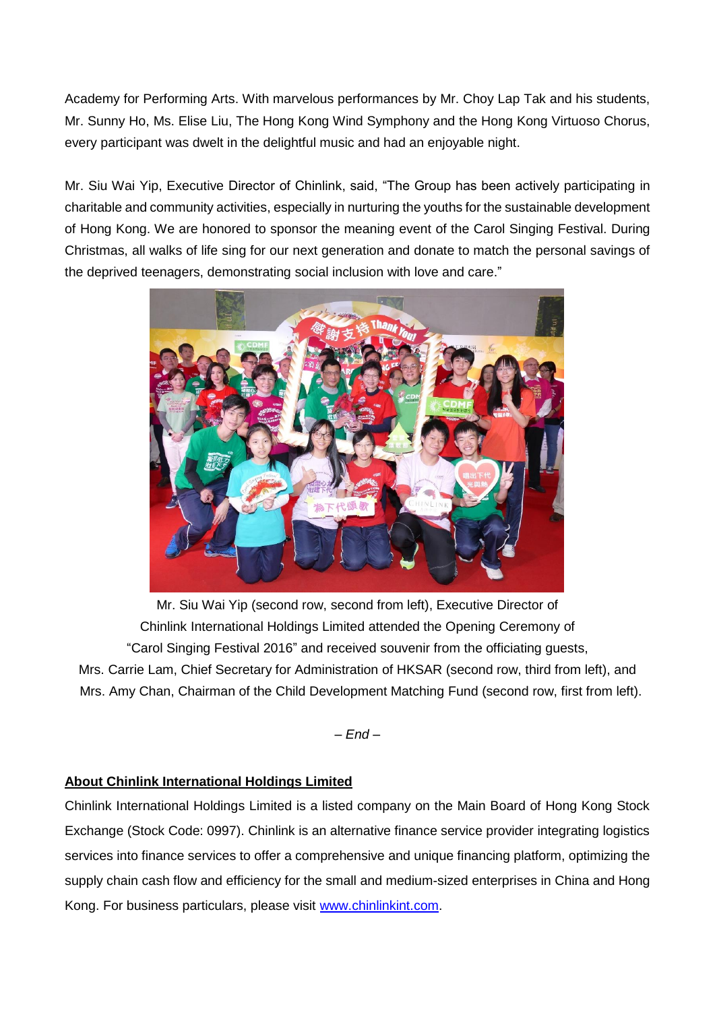Academy for Performing Arts. With marvelous performances by Mr. Choy Lap Tak and his students, Mr. Sunny Ho, Ms. Elise Liu, The Hong Kong Wind Symphony and the Hong Kong Virtuoso Chorus, every participant was dwelt in the delightful music and had an enjoyable night.

Mr. Siu Wai Yip, Executive Director of Chinlink, said, "The Group has been actively participating in charitable and community activities, especially in nurturing the youths for the sustainable development of Hong Kong. We are honored to sponsor the meaning event of the Carol Singing Festival. During Christmas, all walks of life sing for our next generation and donate to match the personal savings of the deprived teenagers, demonstrating social inclusion with love and care."



Mr. Siu Wai Yip (second row, second from left), Executive Director of Chinlink International Holdings Limited attended the Opening Ceremony of "Carol Singing Festival 2016" and received souvenir from the officiating guests, Mrs. Carrie Lam, Chief Secretary for Administration of HKSAR (second row, third from left), and Mrs. Amy Chan, Chairman of the Child Development Matching Fund (second row, first from left).

*– End –*

#### **About Chinlink International Holdings Limited**

Chinlink International Holdings Limited is a listed company on the Main Board of Hong Kong Stock Exchange (Stock Code: 0997). Chinlink is an alternative finance service provider integrating logistics services into finance services to offer a comprehensive and unique financing platform, optimizing the supply chain cash flow and efficiency for the small and medium-sized enterprises in China and Hong Kong. For business particulars, please visit [www.chinlinkint.com.](http://www.chinlinkint.com/)